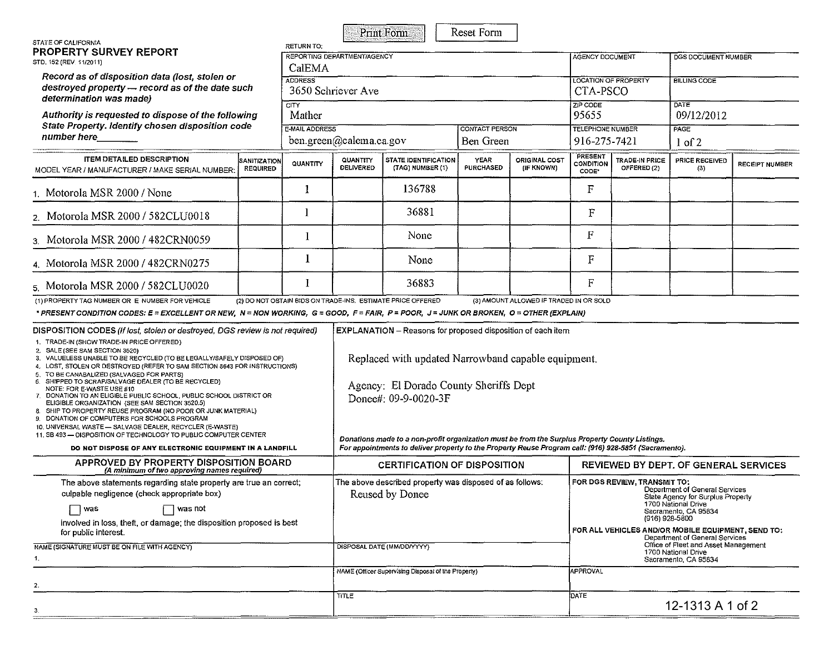| STATE OF CALIFORNIA                                                                                                                                                                                                                                                                                                                                                                                                                                                                                                                                                                                                                                                                                                                                        |                                 | RETURN TO:                                |                                                                                                                                                                                             | <b>Print Form</b>                                                           | Reset Form                         |                                                                                                                                                                                                         |                                                                                                                                                                                                                       |                                         |                       |                       |  |
|------------------------------------------------------------------------------------------------------------------------------------------------------------------------------------------------------------------------------------------------------------------------------------------------------------------------------------------------------------------------------------------------------------------------------------------------------------------------------------------------------------------------------------------------------------------------------------------------------------------------------------------------------------------------------------------------------------------------------------------------------------|---------------------------------|-------------------------------------------|---------------------------------------------------------------------------------------------------------------------------------------------------------------------------------------------|-----------------------------------------------------------------------------|------------------------------------|---------------------------------------------------------------------------------------------------------------------------------------------------------------------------------------------------------|-----------------------------------------------------------------------------------------------------------------------------------------------------------------------------------------------------------------------|-----------------------------------------|-----------------------|-----------------------|--|
| <b>PROPERTY SURVEY REPORT</b><br>STD, 152 (REV. 11/2011)<br>Record as of disposition data (lost, stolen or<br>destroyed property - record as of the date such<br>determination was made)                                                                                                                                                                                                                                                                                                                                                                                                                                                                                                                                                                   |                                 | CalEMA                                    | REPORTING DEPARTMENT/AGENCY                                                                                                                                                                 |                                                                             |                                    | AGENCY DOCUMENT                                                                                                                                                                                         |                                                                                                                                                                                                                       | DGS DOCUMENT NUMBER                     |                       |                       |  |
|                                                                                                                                                                                                                                                                                                                                                                                                                                                                                                                                                                                                                                                                                                                                                            |                                 | <b>ADDRESS</b>                            | 3650 Schriever Ave                                                                                                                                                                          |                                                                             |                                    |                                                                                                                                                                                                         |                                                                                                                                                                                                                       | <b>LOCATION OF PROPERTY</b><br>CTA-PSCO | <b>BILLING CODE</b>   |                       |  |
| CITY<br>Authority is requested to dispose of the following<br>State Property. Identify chosen disposition code<br>number here                                                                                                                                                                                                                                                                                                                                                                                                                                                                                                                                                                                                                              |                                 | Mather                                    |                                                                                                                                                                                             |                                                                             |                                    | ZIP CODE<br>95655                                                                                                                                                                                       |                                                                                                                                                                                                                       | DATE<br>09/12/2012                      |                       |                       |  |
|                                                                                                                                                                                                                                                                                                                                                                                                                                                                                                                                                                                                                                                                                                                                                            |                                 | E-MAIL ADDRESS<br>ben.green@calema.ca.gov |                                                                                                                                                                                             |                                                                             | <b>CONTACT PERSON</b><br>Ben Green |                                                                                                                                                                                                         | <b>TELEPHONE NUMBER</b><br>916-275-7421                                                                                                                                                                               |                                         | PAGE<br>$1$ of 2      |                       |  |
| <b>ITEM DETAILED DESCRIPTION</b><br>MODEL YEAR / MANUFACTURER / MAKE SERIAL NUMBER:                                                                                                                                                                                                                                                                                                                                                                                                                                                                                                                                                                                                                                                                        | SANITIZATION<br><b>REQUIRED</b> | QUANTITY                                  | <b>QUANTITY</b><br>DELIVERED                                                                                                                                                                | <b>STATE IDENTIFICATION</b><br>(TAG) NUMBER (1)                             | YEAR<br><b>PURCHASED</b>           | ORIGINAL COST<br>(IF KNOWN)                                                                                                                                                                             | PRESENT<br>CONDITION<br>CODE"                                                                                                                                                                                         | <b>TRADE-IN PRICE</b><br>OFFERED (2)    | PRICE RECEIVED<br>(3) | <b>RECEIPT NUMBER</b> |  |
| 1. Motorola MSR 2000 / None                                                                                                                                                                                                                                                                                                                                                                                                                                                                                                                                                                                                                                                                                                                                |                                 | 1                                         |                                                                                                                                                                                             | 136788                                                                      |                                    |                                                                                                                                                                                                         | F                                                                                                                                                                                                                     |                                         |                       |                       |  |
| 2. Motorola MSR 2000 / 582CLU0018                                                                                                                                                                                                                                                                                                                                                                                                                                                                                                                                                                                                                                                                                                                          |                                 | 1                                         |                                                                                                                                                                                             | 36881                                                                       |                                    |                                                                                                                                                                                                         | $\mathbf F$                                                                                                                                                                                                           |                                         |                       |                       |  |
| 3. Motorola MSR 2000 / 482CRN0059                                                                                                                                                                                                                                                                                                                                                                                                                                                                                                                                                                                                                                                                                                                          |                                 |                                           |                                                                                                                                                                                             | None                                                                        |                                    |                                                                                                                                                                                                         | F                                                                                                                                                                                                                     |                                         |                       |                       |  |
| 4. Motorola MSR 2000 / 482CRN0275                                                                                                                                                                                                                                                                                                                                                                                                                                                                                                                                                                                                                                                                                                                          |                                 |                                           |                                                                                                                                                                                             | None                                                                        |                                    |                                                                                                                                                                                                         | F                                                                                                                                                                                                                     |                                         |                       |                       |  |
| 5. Motorola MSR 2000 / 582CLU0020                                                                                                                                                                                                                                                                                                                                                                                                                                                                                                                                                                                                                                                                                                                          |                                 |                                           |                                                                                                                                                                                             | 36883                                                                       |                                    |                                                                                                                                                                                                         | $\mathbf F$                                                                                                                                                                                                           |                                         |                       |                       |  |
| (1) PROPERTY TAG NUMBER OR E NUMBER FOR VEHICLE<br>* PRESENT CONDITION CODES: E = EXCELLENT OR NEW, N = NON WORKING, G = GOOD, F = FAIR, P = POOR, J = JUNK OR BROKEN, O = OTHER (EXPLAIN)                                                                                                                                                                                                                                                                                                                                                                                                                                                                                                                                                                 |                                 |                                           |                                                                                                                                                                                             | (2) DO NOT OBTAIN BIDS ON TRADE-INS. ESTIMATE PRICE OFFERED                 |                                    | (3) AMOUNT ALLOWED IF TRADED IN OR SOLD                                                                                                                                                                 |                                                                                                                                                                                                                       |                                         |                       |                       |  |
| DISPOSITION CODES (If lost, stolen or destroyed, DGS review is not required)<br>1. TRADE-IN (SHOW TRADE-IN PRICE OFFERED)<br>2. SALE (SEE SAM SECTION 3520)<br>3. VALUELESS UNABLE TO BE RECYCLED (TO BE LEGALLY/SAFELY DISPOSED OF)<br>4. LOST, STOLEN OR DESTROYED (REFER TO SAM SECTION 8643 FOR INSTRUCTIONS)<br>TO BE CANABALIZED (SALVAGED FOR PARTS)<br>5.<br>SHIPPED TO SCRAP/SALVAGE DEALER (TO BE RECYCLED)<br>6.<br>NOTE: FOR E-WASTE USE #10<br>7. DONATION TO AN ELIGIBLE PUBLIC SCHOOL, PUBLIC SCHOOL DISTRICT OR<br>ELIGIBLE ORGANIZATION (SEE SAM SECTION 3520.5)<br>SHIP TO PROPERTY REUSE PROGRAM (NO POOR OR JUNK MATERIAL)<br>9. DONATION OF COMPUTERS FOR SCHOOLS PROGRAM<br>10. UNIVERSAL WASTE - SALVAGE DEALER, RECYCLER (E-WASTE) |                                 |                                           | <b>EXPLANATION</b> - Reasons for proposed disposition of each item<br>Replaced with updated Narrowband capable equipment.<br>Agency: El Dorado County Sheriffs Dept<br>Donee#: 09-9-0020-3F |                                                                             |                                    |                                                                                                                                                                                                         |                                                                                                                                                                                                                       |                                         |                       |                       |  |
| 11, SB 493 - DISPOSITION OF TECHNOLOGY TO PUBLIC COMPUTER CENTER<br>DO NOT DISPOSE OF ANY ELECTRONIC EQUIPMENT IN A LANDFILL                                                                                                                                                                                                                                                                                                                                                                                                                                                                                                                                                                                                                               |                                 |                                           |                                                                                                                                                                                             |                                                                             |                                    | Donations made to a non-profit organization must be from the Surplus Property County Listings.<br>For appointments to deliver property to the Property Reuse Program call: (916) 928-5851 (Sacramento). |                                                                                                                                                                                                                       |                                         |                       |                       |  |
| APPROVED BY PROPERTY DISPOSITION BOARD<br>(A minimum of two approving names required)                                                                                                                                                                                                                                                                                                                                                                                                                                                                                                                                                                                                                                                                      |                                 |                                           | <b>CERTIFICATION OF DISPOSITION</b>                                                                                                                                                         |                                                                             |                                    |                                                                                                                                                                                                         | <b>REVIEWED BY DEPT. OF GENERAL SERVICES</b>                                                                                                                                                                          |                                         |                       |                       |  |
| The above statements regarding state property are true an correct;<br>culpable negligence (check appropriate box)                                                                                                                                                                                                                                                                                                                                                                                                                                                                                                                                                                                                                                          |                                 |                                           |                                                                                                                                                                                             | The above described property was disposed of as follows:<br>Reused by Donee |                                    | FOR DGS REVIEW, TRANSMIT TO:<br>Department of General Services<br>State Agency for Surplus Property<br>1700 National Drive                                                                              |                                                                                                                                                                                                                       |                                         |                       |                       |  |
| ⊟ was not<br>was<br>involved in loss, theft, or damage; the disposition proposed is best<br>for public interest.<br>NAME (SIGNATURE MUST BE ON FILE WITH AGENCY)                                                                                                                                                                                                                                                                                                                                                                                                                                                                                                                                                                                           |                                 |                                           | DISPOSAL DATE (MM/DD/YYYY)                                                                                                                                                                  |                                                                             |                                    |                                                                                                                                                                                                         | Sacramento, CA 95834<br>(916) 928-5800<br>FOR ALL VEHICLES AND/OR MOBILE EQUIPMENT, SEND TO:<br>Department of General Services<br>Office of Fleet and Asset Management<br>1700 National Drive<br>Sacramento, CA 95834 |                                         |                       |                       |  |
| 1.                                                                                                                                                                                                                                                                                                                                                                                                                                                                                                                                                                                                                                                                                                                                                         |                                 |                                           | NAME (Officer Supervising Disposal of the Property)                                                                                                                                         |                                                                             |                                    |                                                                                                                                                                                                         | <b>APPROVAL</b>                                                                                                                                                                                                       |                                         |                       |                       |  |
| 2.<br>З.                                                                                                                                                                                                                                                                                                                                                                                                                                                                                                                                                                                                                                                                                                                                                   |                                 |                                           | TITLE                                                                                                                                                                                       |                                                                             |                                    |                                                                                                                                                                                                         |                                                                                                                                                                                                                       | DATE<br>12-1313 A 1 of 2                |                       |                       |  |